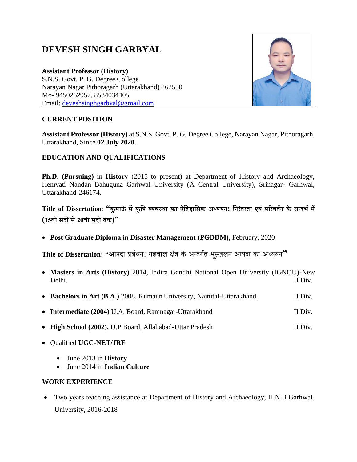# **DEVESH SINGH GARBYAL**

**Assistant Professor (History)** S.N.S. Govt. P. G. Degree College Narayan Nagar Pithoragarh (Uttarakhand) 262550 Mo- 9450262957, 8534034405 Email: [deveshsinghgarbyal@gmail.com](mailto:deveshsinghgarbyal@gmail.com)



#### **CURRENT POSITION**

**Assistant Professor (History)** at S.N.S. Govt. P. G. Degree College, Narayan Nagar, Pithoragarh, Uttarakhand, Since **02 July 2020**.

#### **EDUCATION AND QUALIFICATIONS**

**Ph.D. (Pursuing)** in **History** (2015 to present) at Department of History and Archaeology, Hemvati Nandan Bahuguna Garhwal University (A Central University), Srinagar- Garhwal, Uttarakhand-246174.

**Title of Dissertation**: **"कुमाऊं मेंकृषि व्यवस्था का ऐषिहाषिक अध्ययन: षनरंिरिा एवं पररवितन के िन्दर्त में (15वीं िदी िे20वीं िदी िक)"**

• **Post Graduate Diploma in Disaster Management (PGDDM)**, February, 2020

**Title of Dissertation: "**आपदा प्रबंधन: गढ़वाल क्षेत्र के अन्तगगत भूस्खलन आपदा का अध्ययन**"**

- **Masters in Arts (History)** 2014, Indira Gandhi National Open University (IGNOU)-New Delhi. II Div.
- Bachelors in Art (B.A.) 2008, Kumaun University, Nainital-Uttarakhand. II Div.
- **Intermediate (2004)** U.A. Board, Ramnagar-Uttarakhand II Div.
- **High School (2002), U.P Board, Allahabad-Uttar Pradesh II Div.** II Div.
- Qualified **UGC-NET/JRF**
	- June 2013 in **History**
	- June 2014 in **Indian Culture**

#### **WORK EXPERIENCE**

• Two years teaching assistance at Department of History and Archaeology, H.N.B Garhwal, University, 2016-2018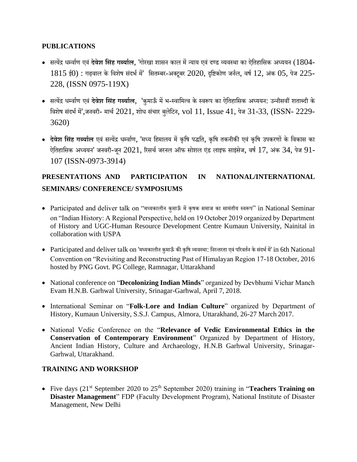#### **PUBLICATIONS**

- सत्येंद्र धर्मवागण एवं **देवेश षिंह गर्बयातल**, 'गोरखा शासन काल मेंन्याय एवंदण्ड व्यवस्था का ऐततहातसक अध्ययन (1804-  $1815$  ई0) : गढ़वाल के विशेष संदर्भ में' सितम्बर-अक्टूबर  $2020$ , दृष्टिकोण जर्नल, वर्ष  $12$ , अंक  $05$ , पेज  $225$ -228, (ISSN 0975-119X)
- सत्येंद्र धर्मवागण एवं **देवेश षिंह गर्बयातल**, 'कुमाऊँ मेंभ-स्वातमत्व केस्वरूप का ऐततहातसक अध्ययन: उन्नीसवीं शताब्दी के विशेष संदर्भ में',जनवरी- मार्च 2021, शोध संचार बुलेटिन, vol 11, Issue 41, पेज 31-33, (ISSN- 2229-3620)
- **देवेश षिंह गर्बयातल** एवं सत्येंद्र धर्मवागण, 'मध्य तहमालय मेंकृतष पद्धतत, कृतष तकनीकी एवं कृतष उपकरणों के तवकास का ऐतिहासिक अध्ययन' जनवरी-जून 2021, रिसर्च जरनल ऑफ सोशल एंड लाइफ साइंसेज, वर्ष 17, अंक 34, पेज 91-107 (ISSN-0973-3914)

## **PRESENTATIONS AND PARTICIPATION IN NATIONAL/INTERNATIONAL SEMINARS/ CONFERENCE/ SYMPOSIUMS**

- Participated and deliver talk on "मध्यकालीन कुमाऊँ मेंकृषक समाज का सामंतीय स्वरूप" in National Seminar on "Indian History: A Regional Perspective, held on 19 October 2019 organized by Department of History and UGC-Human Resource Development Centre Kumaun University, Nainital in collaboration with USPA
- Participated and deliver talk on 'मध्यकालीन कुमाऊँ की कृषि व्यवस्था: निरन्तरता एवं परिवर्तन के संदर्भ में' in 6th National Convention on "Revisiting and Reconstructing Past of Himalayan Region 17-18 October, 2016 hosted by PNG Govt. PG College, Ramnagar, Uttarakhand
- National conference on "**Decolonizing Indian Minds**" organized by Devbhumi Vichar Manch Evam H.N.B. Garhwal University, Srinagar-Garhwal, April 7, 2018.
- International Seminar on "**Folk-Lore and Indian Culture**" organized by Department of History, Kumaun University, S.S.J. Campus, Almora, Uttarakhand, 26-27 March 2017.
- National Vedic Conference on the "**Relevance of Vedic Environmental Ethics in the Conservation of Contemporary Environment**" Organized by Department of History, Ancient Indian History, Culture and Archaeology, H.N.B Garhwal University, Srinagar-Garhwal, Uttarakhand.

#### **TRAINING AND WORKSHOP**

• Five days (21<sup>st</sup> September 2020 to 25<sup>th</sup> September 2020) training in "**Teachers Training on Disaster Management**" FDP (Faculty Development Program), National Institute of Disaster Management, New Delhi